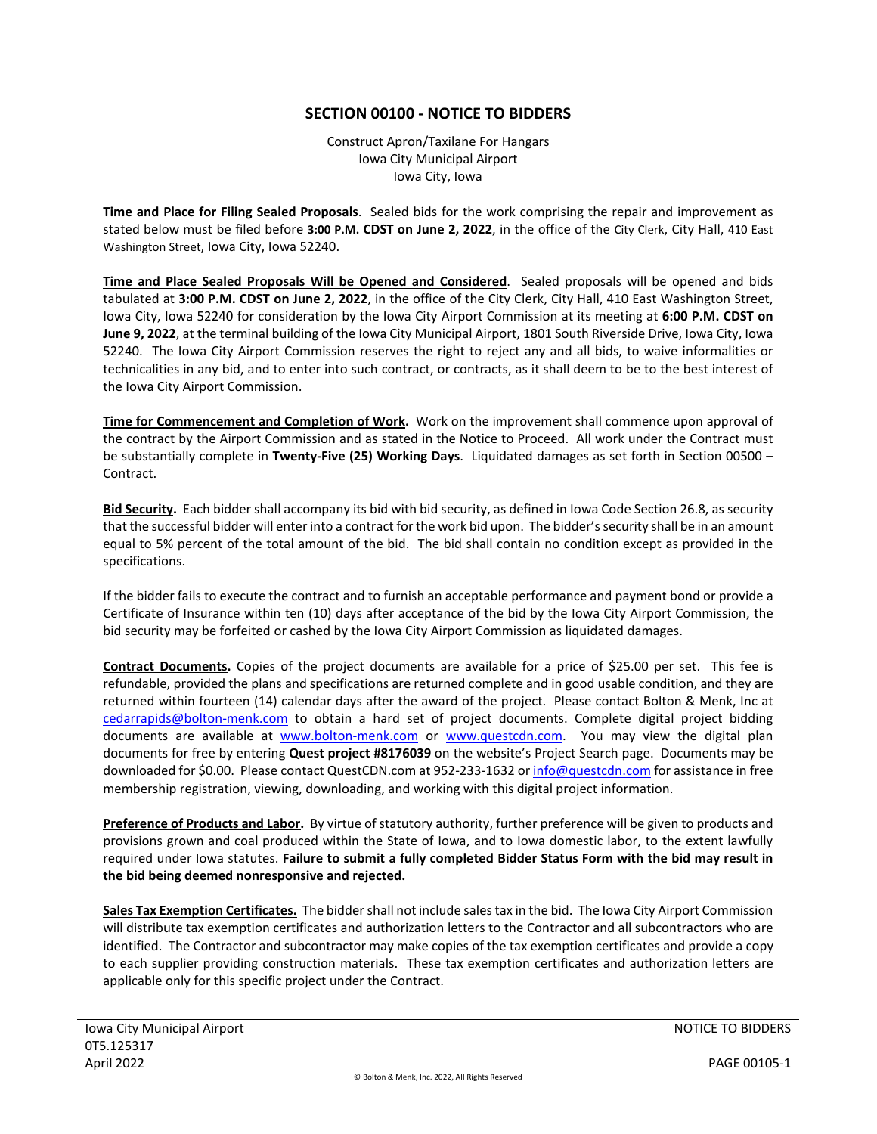## **SECTION 00100 - NOTICE TO BIDDERS**

Construct Apron/Taxilane For Hangars Iowa City Municipal Airport Iowa City, Iowa

**Time and Place for Filing Sealed Proposals**. Sealed bids for the work comprising the repair and improvement as stated below must be filed before **3:00 P.M. CDST on June 2, 2022**, in the office of the City Clerk, City Hall, 410 East Washington Street, Iowa City, Iowa 52240.

**Time and Place Sealed Proposals Will be Opened and Considered**. Sealed proposals will be opened and bids tabulated at **3:00 P.M. CDST on June 2, 2022**, in the office of the City Clerk, City Hall, 410 East Washington Street, Iowa City, Iowa 52240 for consideration by the Iowa City Airport Commission at its meeting at **6:00 P.M. CDST on June 9, 2022**, at the terminal building of the Iowa City Municipal Airport, 1801 South Riverside Drive, Iowa City, Iowa 52240. The Iowa City Airport Commission reserves the right to reject any and all bids, to waive informalities or technicalities in any bid, and to enter into such contract, or contracts, as it shall deem to be to the best interest of the Iowa City Airport Commission.

**Time for Commencement and Completion of Work.** Work on the improvement shall commence upon approval of the contract by the Airport Commission and as stated in the Notice to Proceed. All work under the Contract must be substantially complete in **Twenty-Five (25) Working Days**. Liquidated damages as set forth in Section 00500 – Contract.

**Bid Security.** Each bidder shall accompany its bid with bid security, as defined in Iowa Code Section 26.8, as security that the successful bidder will enter into a contract for the work bid upon. The bidder's security shall be in an amount equal to 5% percent of the total amount of the bid. The bid shall contain no condition except as provided in the specifications.

If the bidder fails to execute the contract and to furnish an acceptable performance and payment bond or provide a Certificate of Insurance within ten (10) days after acceptance of the bid by the Iowa City Airport Commission, the bid security may be forfeited or cashed by the Iowa City Airport Commission as liquidated damages.

**Contract Documents.** Copies of the project documents are available for a price of \$25.00 per set. This fee is refundable, provided the plans and specifications are returned complete and in good usable condition, and they are returned within fourteen (14) calendar days after the award of the project. Please contact Bolton & Menk, Inc at [cedarrapids@bolton-menk.com](mailto:cedarrapids@bolton-menk.com) to obtain a hard set of project documents. Complete digital project bidding documents are available at [www.bolton-menk.com](http://www.bolton-menk.com/) or [www.questcdn.com.](http://www.questcdn.com/) You may view the digital plan documents for free by entering **Quest project #8176039** on the website's Project Search page. Documents may be downloaded for \$0.00. Please contact QuestCDN.com at 952-233-1632 o[r info@questcdn.com](mailto:info@questcdn.com) for assistance in free membership registration, viewing, downloading, and working with this digital project information.

**Preference of Products and Labor.** By virtue of statutory authority, further preference will be given to products and provisions grown and coal produced within the State of Iowa, and to Iowa domestic labor, to the extent lawfully required under Iowa statutes. **Failure to submit a fully completed Bidder Status Form with the bid may result in the bid being deemed nonresponsive and rejected.**

**Sales Tax Exemption Certificates.** The bidder shall not include sales tax in the bid. The Iowa City Airport Commission will distribute tax exemption certificates and authorization letters to the Contractor and all subcontractors who are identified. The Contractor and subcontractor may make copies of the tax exemption certificates and provide a copy to each supplier providing construction materials. These tax exemption certificates and authorization letters are applicable only for this specific project under the Contract.